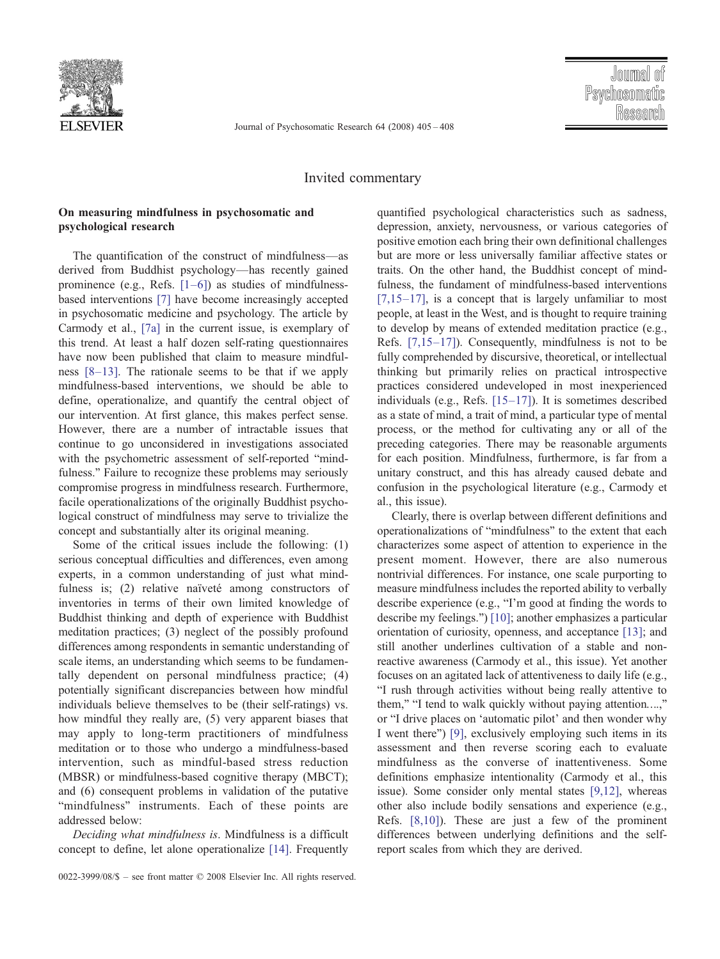

Journal of Psychosomatic Research 64 (2008) 405–408

## Invited commentary

## On measuring mindfulness in psychosomatic and psychological research

The quantification of the construct of mindfulness—as derived from Buddhist psychology—has recently gained prominence (e.g., Refs.  $[1-6]$  $[1-6]$ ) as studies of mindfulnessbased interventions [\[7\]](#page-3-0) have become increasingly accepted in psychosomatic medicine and psychology. The article by Carmody et al., [\[7a\]](#page-3-0) in the current issue, is exemplary of this trend. At least a half dozen self-rating questionnaires have now been published that claim to measure mindfulness [8–[13\]](#page-3-0). The rationale seems to be that if we apply mindfulness-based interventions, we should be able to define, operationalize, and quantify the central object of our intervention. At first glance, this makes perfect sense. However, there are a number of intractable issues that continue to go unconsidered in investigations associated with the psychometric assessment of self-reported "mindfulness." Failure to recognize these problems may seriously compromise progress in mindfulness research. Furthermore, facile operationalizations of the originally Buddhist psychological construct of mindfulness may serve to trivialize the concept and substantially alter its original meaning.

Some of the critical issues include the following: (1) serious conceptual difficulties and differences, even among experts, in a common understanding of just what mindfulness is; (2) relative naïveté among constructors of inventories in terms of their own limited knowledge of Buddhist thinking and depth of experience with Buddhist meditation practices; (3) neglect of the possibly profound differences among respondents in semantic understanding of scale items, an understanding which seems to be fundamentally dependent on personal mindfulness practice; (4) potentially significant discrepancies between how mindful individuals believe themselves to be (their self-ratings) vs. how mindful they really are, (5) very apparent biases that may apply to long-term practitioners of mindfulness meditation or to those who undergo a mindfulness-based intervention, such as mindful-based stress reduction (MBSR) or mindfulness-based cognitive therapy (MBCT); and (6) consequent problems in validation of the putative "mindfulness" instruments. Each of these points are addressed below:

Deciding what mindfulness is. Mindfulness is a difficult concept to define, let alone operationalize [\[14\]](#page-3-0). Frequently

quantified psychological characteristics such as sadness, depression, anxiety, nervousness, or various categories of positive emotion each bring their own definitional challenges but are more or less universally familiar affective states or traits. On the other hand, the Buddhist concept of mindfulness, the fundament of mindfulness-based interventions  $[7,15-17]$  $[7,15-17]$ , is a concept that is largely unfamiliar to most people, at least in the West, and is thought to require training to develop by means of extended meditation practice (e.g., Refs. [\[7,15](#page-3-0)–17]). Consequently, mindfulness is not to be fully comprehended by discursive, theoretical, or intellectual thinking but primarily relies on practical introspective practices considered undeveloped in most inexperienced individuals (e.g., Refs. [\[15](#page-3-0)–17]). It is sometimes described as a state of mind, a trait of mind, a particular type of mental process, or the method for cultivating any or all of the preceding categories. There may be reasonable arguments for each position. Mindfulness, furthermore, is far from a unitary construct, and this has already caused debate and confusion in the psychological literature (e.g., Carmody et al., this issue).

Clearly, there is overlap between different definitions and operationalizations of "mindfulness" to the extent that each characterizes some aspect of attention to experience in the present moment. However, there are also numerous nontrivial differences. For instance, one scale purporting to measure mindfulness includes the reported ability to verbally describe experience (e.g., "I'm good at finding the words to describe my feelings.") [\[10\]](#page-3-0); another emphasizes a particular orientation of curiosity, openness, and acceptance [\[13\]](#page-3-0); and still another underlines cultivation of a stable and nonreactive awareness (Carmody et al., this issue). Yet another focuses on an agitated lack of attentiveness to daily life (e.g., "I rush through activities without being really attentive to them," "I tend to walk quickly without paying attention….," or "I drive places on 'automatic pilot' and then wonder why I went there") [\[9\],](#page-3-0) exclusively employing such items in its assessment and then reverse scoring each to evaluate mindfulness as the converse of inattentiveness. Some definitions emphasize intentionality (Carmody et al., this issue). Some consider only mental states [\[9,12\],](#page-3-0) whereas other also include bodily sensations and experience (e.g., Refs. [\[8,10\]\)](#page-3-0). These are just a few of the prominent differences between underlying definitions and the selfreport scales from which they are derived.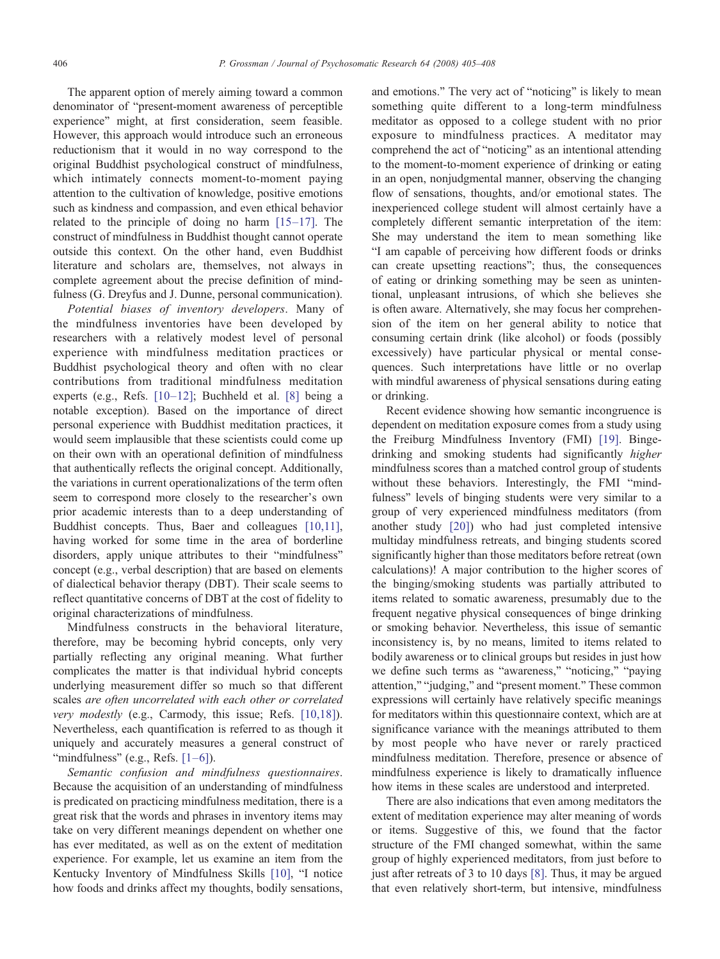The apparent option of merely aiming toward a common denominator of "present-moment awareness of perceptible experience" might, at first consideration, seem feasible. However, this approach would introduce such an erroneous reductionism that it would in no way correspond to the original Buddhist psychological construct of mindfulness, which intimately connects moment-to-moment paying attention to the cultivation of knowledge, positive emotions such as kindness and compassion, and even ethical behavior related to the principle of doing no harm  $[15-17]$ . The construct of mindfulness in Buddhist thought cannot operate outside this context. On the other hand, even Buddhist literature and scholars are, themselves, not always in complete agreement about the precise definition of mindfulness (G. Dreyfus and J. Dunne, personal communication).

Potential biases of inventory developers. Many of the mindfulness inventories have been developed by researchers with a relatively modest level of personal experience with mindfulness meditation practices or Buddhist psychological theory and often with no clear contributions from traditional mindfulness meditation experts (e.g., Refs. [\[10](#page-3-0)–12]; Buchheld et al. [\[8\]](#page-3-0) being a notable exception). Based on the importance of direct personal experience with Buddhist meditation practices, it would seem implausible that these scientists could come up on their own with an operational definition of mindfulness that authentically reflects the original concept. Additionally, the variations in current operationalizations of the term often seem to correspond more closely to the researcher's own prior academic interests than to a deep understanding of Buddhist concepts. Thus, Baer and colleagues [\[10,11\]](#page-3-0), having worked for some time in the area of borderline disorders, apply unique attributes to their "mindfulness" concept (e.g., verbal description) that are based on elements of dialectical behavior therapy (DBT). Their scale seems to reflect quantitative concerns of DBT at the cost of fidelity to original characterizations of mindfulness.

Mindfulness constructs in the behavioral literature, therefore, may be becoming hybrid concepts, only very partially reflecting any original meaning. What further complicates the matter is that individual hybrid concepts underlying measurement differ so much so that different scales are often uncorrelated with each other or correlated very modestly (e.g., Carmody, this issue; Refs. [\[10,18\]](#page-3-0)). Nevertheless, each quantification is referred to as though it uniquely and accurately measures a general construct of "mindfulness" (e.g., Refs.  $[1-6]$  $[1-6]$ ).

Semantic confusion and mindfulness questionnaires. Because the acquisition of an understanding of mindfulness is predicated on practicing mindfulness meditation, there is a great risk that the words and phrases in inventory items may take on very different meanings dependent on whether one has ever meditated, as well as on the extent of meditation experience. For example, let us examine an item from the Kentucky Inventory of Mindfulness Skills [\[10\],](#page-3-0) "I notice how foods and drinks affect my thoughts, bodily sensations,

and emotions." The very act of "noticing" is likely to mean something quite different to a long-term mindfulness meditator as opposed to a college student with no prior exposure to mindfulness practices. A meditator may comprehend the act of "noticing" as an intentional attending to the moment-to-moment experience of drinking or eating in an open, nonjudgmental manner, observing the changing flow of sensations, thoughts, and/or emotional states. The inexperienced college student will almost certainly have a completely different semantic interpretation of the item: She may understand the item to mean something like "I am capable of perceiving how different foods or drinks can create upsetting reactions"; thus, the consequences of eating or drinking something may be seen as unintentional, unpleasant intrusions, of which she believes she is often aware. Alternatively, she may focus her comprehension of the item on her general ability to notice that consuming certain drink (like alcohol) or foods (possibly excessively) have particular physical or mental consequences. Such interpretations have little or no overlap with mindful awareness of physical sensations during eating or drinking.

Recent evidence showing how semantic incongruence is dependent on meditation exposure comes from a study using the Freiburg Mindfulness Inventory (FMI) [\[19\].](#page-3-0) Bingedrinking and smoking students had significantly higher mindfulness scores than a matched control group of students without these behaviors. Interestingly, the FMI "mindfulness" levels of binging students were very similar to a group of very experienced mindfulness meditators (from another study [\[20\]](#page-3-0)) who had just completed intensive multiday mindfulness retreats, and binging students scored significantly higher than those meditators before retreat (own calculations)! A major contribution to the higher scores of the binging/smoking students was partially attributed to items related to somatic awareness, presumably due to the frequent negative physical consequences of binge drinking or smoking behavior. Nevertheless, this issue of semantic inconsistency is, by no means, limited to items related to bodily awareness or to clinical groups but resides in just how we define such terms as "awareness," "noticing," "paying attention," "judging," and "present moment." These common expressions will certainly have relatively specific meanings for meditators within this questionnaire context, which are at significance variance with the meanings attributed to them by most people who have never or rarely practiced mindfulness meditation. Therefore, presence or absence of mindfulness experience is likely to dramatically influence how items in these scales are understood and interpreted.

There are also indications that even among meditators the extent of meditation experience may alter meaning of words or items. Suggestive of this, we found that the factor structure of the FMI changed somewhat, within the same group of highly experienced meditators, from just before to just after retreats of 3 to 10 days [\[8\]](#page-3-0). Thus, it may be argued that even relatively short-term, but intensive, mindfulness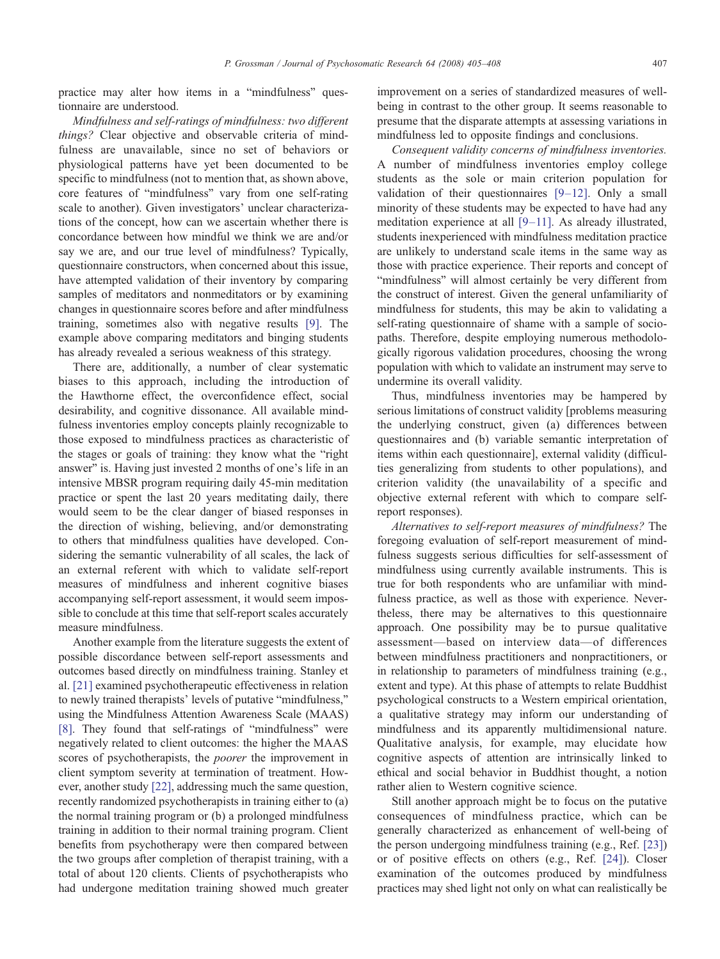practice may alter how items in a "mindfulness" ques-

tionnaire are understood. Mindfulness and self-ratings of mindfulness: two different things? Clear objective and observable criteria of mindfulness are unavailable, since no set of behaviors or physiological patterns have yet been documented to be specific to mindfulness (not to mention that, as shown above, core features of "mindfulness" vary from one self-rating scale to another). Given investigators' unclear characterizations of the concept, how can we ascertain whether there is concordance between how mindful we think we are and/or say we are, and our true level of mindfulness? Typically, questionnaire constructors, when concerned about this issue, have attempted validation of their inventory by comparing samples of meditators and nonmeditators or by examining changes in questionnaire scores before and after mindfulness training, sometimes also with negative results [\[9\]](#page-3-0). The example above comparing meditators and binging students has already revealed a serious weakness of this strategy.

There are, additionally, a number of clear systematic biases to this approach, including the introduction of the Hawthorne effect, the overconfidence effect, social desirability, and cognitive dissonance. All available mindfulness inventories employ concepts plainly recognizable to those exposed to mindfulness practices as characteristic of the stages or goals of training: they know what the "right answer" is. Having just invested 2 months of one's life in an intensive MBSR program requiring daily 45-min meditation practice or spent the last 20 years meditating daily, there would seem to be the clear danger of biased responses in the direction of wishing, believing, and/or demonstrating to others that mindfulness qualities have developed. Considering the semantic vulnerability of all scales, the lack of an external referent with which to validate self-report measures of mindfulness and inherent cognitive biases accompanying self-report assessment, it would seem impossible to conclude at this time that self-report scales accurately measure mindfulness.

Another example from the literature suggests the extent of possible discordance between self-report assessments and outcomes based directly on mindfulness training. Stanley et al. [\[21\]](#page-3-0) examined psychotherapeutic effectiveness in relation to newly trained therapists' levels of putative "mindfulness," using the Mindfulness Attention Awareness Scale (MAAS) [\[8\].](#page-3-0) They found that self-ratings of "mindfulness" were negatively related to client outcomes: the higher the MAAS scores of psychotherapists, the poorer the improvement in client symptom severity at termination of treatment. However, another study [\[22\]](#page-3-0), addressing much the same question, recently randomized psychotherapists in training either to (a) the normal training program or (b) a prolonged mindfulness training in addition to their normal training program. Client benefits from psychotherapy were then compared between the two groups after completion of therapist training, with a total of about 120 clients. Clients of psychotherapists who had undergone meditation training showed much greater improvement on a series of standardized measures of wellbeing in contrast to the other group. It seems reasonable to presume that the disparate attempts at assessing variations in mindfulness led to opposite findings and conclusions.

Consequent validity concerns of mindfulness inventories. A number of mindfulness inventories employ college students as the sole or main criterion population for validation of their questionnaires [9–[12\].](#page-3-0) Only a small minority of these students may be expected to have had any meditation experience at all [9–[11\].](#page-3-0) As already illustrated, students inexperienced with mindfulness meditation practice are unlikely to understand scale items in the same way as those with practice experience. Their reports and concept of "mindfulness" will almost certainly be very different from the construct of interest. Given the general unfamiliarity of mindfulness for students, this may be akin to validating a self-rating questionnaire of shame with a sample of sociopaths. Therefore, despite employing numerous methodologically rigorous validation procedures, choosing the wrong population with which to validate an instrument may serve to undermine its overall validity.

Thus, mindfulness inventories may be hampered by serious limitations of construct validity [problems measuring the underlying construct, given (a) differences between questionnaires and (b) variable semantic interpretation of items within each questionnaire], external validity (difficulties generalizing from students to other populations), and criterion validity (the unavailability of a specific and objective external referent with which to compare selfreport responses).

Alternatives to self-report measures of mindfulness? The foregoing evaluation of self-report measurement of mindfulness suggests serious difficulties for self-assessment of mindfulness using currently available instruments. This is true for both respondents who are unfamiliar with mindfulness practice, as well as those with experience. Nevertheless, there may be alternatives to this questionnaire approach. One possibility may be to pursue qualitative assessment—based on interview data—of differences between mindfulness practitioners and nonpractitioners, or in relationship to parameters of mindfulness training (e.g., extent and type). At this phase of attempts to relate Buddhist psychological constructs to a Western empirical orientation, a qualitative strategy may inform our understanding of mindfulness and its apparently multidimensional nature. Qualitative analysis, for example, may elucidate how cognitive aspects of attention are intrinsically linked to ethical and social behavior in Buddhist thought, a notion rather alien to Western cognitive science.

Still another approach might be to focus on the putative consequences of mindfulness practice, which can be generally characterized as enhancement of well-being of the person undergoing mindfulness training (e.g., Ref. [\[23\]](#page-3-0)) or of positive effects on others (e.g., Ref. [\[24\]\)](#page-3-0). Closer examination of the outcomes produced by mindfulness practices may shed light not only on what can realistically be